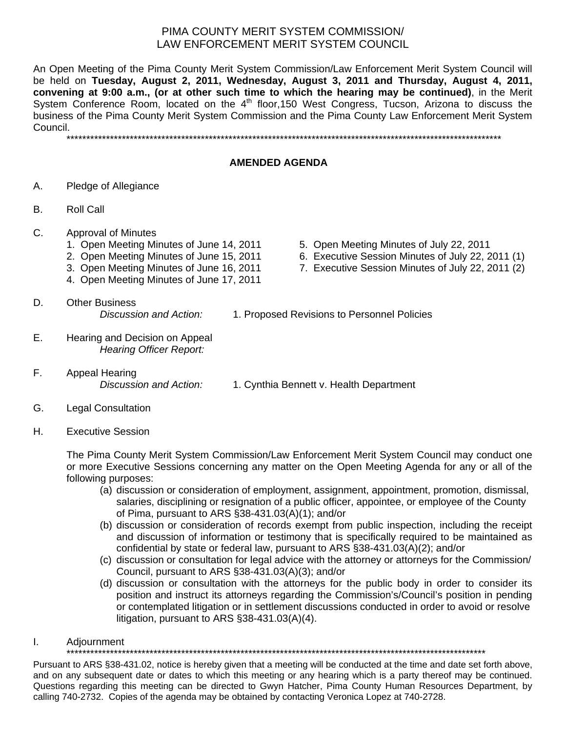## PIMA COUNTY MERIT SYSTEM COMMISSION/ LAW ENFORCEMENT MERIT SYSTEM COUNCIL

An Open Meeting of the Pima County Merit System Commission/Law Enforcement Merit System Council will be held on **Tuesday, August 2, 2011, Wednesday, August 3, 2011 and Thursday, August 4, 2011, convening at 9:00 a.m., (or at other such time to which the hearing may be continued)**, in the Merit System Conference Room, located on the  $4<sup>th</sup>$  floor, 150 West Congress, Tucson, Arizona to discuss the business of the Pima County Merit System Commission and the Pima County Law Enforcement Merit System Council.

\*\*\*\*\*\*\*\*\*\*\*\*\*\*\*\*\*\*\*\*\*\*\*\*\*\*\*\*\*\*\*\*\*\*\*\*\*\*\*\*\*\*\*\*\*\*\*\*\*\*\*\*\*\*\*\*\*\*\*\*\*\*\*\*\*\*\*\*\*\*\*\*\*\*\*\*\*\*\*\*\*\*\*\*\*\*\*\*\*\*\*\*\*\*\*\*\*\*\*\*\*\*\*\*\*\*\*\*\*\*

## **AMENDED AGENDA**

- A. Pledge of Allegiance
- B. Roll Call
- C. Approval of Minutes
	-
	-
	-
	- 4. Open Meeting Minutes of June 17, 2011
	- 1. Open Meeting Minutes of June 14, 2011 5. Open Meeting Minutes of July 22, 2011
	- 2. Open Meeting Minutes of June 15, 2011 6. Executive Session Minutes of July 22, 2011 (1)
	- 3. Open Meeting Minutes of June 16, 2011 7. Executive Session Minutes of July 22, 2011 (2)
- D. Other Business *Discussion and Action:* 1. Proposed Revisions to Personnel Policies
- E. Hearing and Decision on Appeal *Hearing Officer Report:*
- F. Appeal Hearing

*Discussion and Action:* 1. Cynthia Bennett v. Health Department

- G. Legal Consultation
- H. Executive Session

The Pima County Merit System Commission/Law Enforcement Merit System Council may conduct one or more Executive Sessions concerning any matter on the Open Meeting Agenda for any or all of the following purposes:

- (a) discussion or consideration of employment, assignment, appointment, promotion, dismissal, salaries, disciplining or resignation of a public officer, appointee, or employee of the County of Pima, pursuant to ARS §38-431.03(A)(1); and/or
- (b) discussion or consideration of records exempt from public inspection, including the receipt and discussion of information or testimony that is specifically required to be maintained as confidential by state or federal law, pursuant to ARS §38-431.03(A)(2); and/or
- (c) discussion or consultation for legal advice with the attorney or attorneys for the Commission/ Council, pursuant to ARS §38-431.03(A)(3); and/or
- (d) discussion or consultation with the attorneys for the public body in order to consider its position and instruct its attorneys regarding the Commission's/Council's position in pending or contemplated litigation or in settlement discussions conducted in order to avoid or resolve litigation, pursuant to ARS §38-431.03(A)(4).
- I. Adjournment

\*\*\*\*\*\*\*\*\*\*\*\*\*\*\*\*\*\*\*\*\*\*\*\*\*\*\*\*\*\*\*\*\*\*\*\*\*\*\*\*\*\*\*\*\*\*\*\*\*\*\*\*\*\*\*\*\*\*\*\*\*\*\*\*\*\*\*\*\*\*\*\*\*\*\*\*\*\*\*\*\*\*\*\*\*\*\*\*\*\*\*\*\*\*\*\*\*\*\*\*\*\*\*\*\*\*

Pursuant to ARS §38-431.02, notice is hereby given that a meeting will be conducted at the time and date set forth above, and on any subsequent date or dates to which this meeting or any hearing which is a party thereof may be continued. Questions regarding this meeting can be directed to Gwyn Hatcher, Pima County Human Resources Department, by calling 740-2732. Copies of the agenda may be obtained by contacting Veronica Lopez at 740-2728.